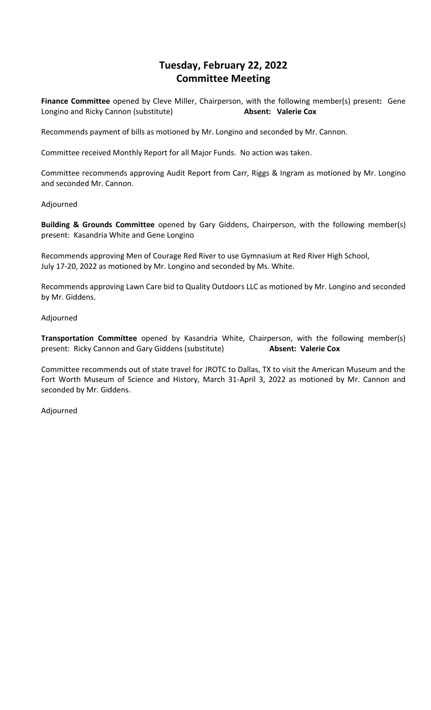# **Tuesday, February 22, 2022 Committee Meeting**

**Finance Committee** opened by Cleve Miller, Chairperson, with the following member(s) present**:** Gene Longino and Ricky Cannon (substitute) **Absent: Valerie Cox**

Recommends payment of bills as motioned by Mr. Longino and seconded by Mr. Cannon.

Committee received Monthly Report for all Major Funds. No action was taken.

Committee recommends approving Audit Report from Carr, Riggs & Ingram as motioned by Mr. Longino and seconded Mr. Cannon.

#### Adjourned

**Building & Grounds Committee** opened by Gary Giddens, Chairperson, with the following member(s) present: Kasandria White and Gene Longino

Recommends approving Men of Courage Red River to use Gymnasium at Red River High School, July 17-20, 2022 as motioned by Mr. Longino and seconded by Ms. White.

Recommends approving Lawn Care bid to Quality Outdoors LLC as motioned by Mr. Longino and seconded by Mr. Giddens.

#### Adjourned

**Transportation Committee** opened by Kasandria White, Chairperson, with the following member(s) present: Ricky Cannon and Gary Giddens (substitute) **Absent: Valerie Cox**

Committee recommends out of state travel for JROTC to Dallas, TX to visit the American Museum and the Fort Worth Museum of Science and History, March 31-April 3, 2022 as motioned by Mr. Cannon and seconded by Mr. Giddens.

Adjourned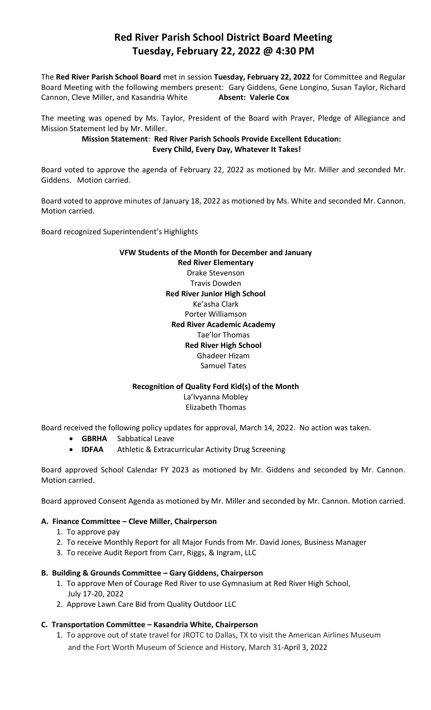# **Red River Parish School District Board Meeting Tuesday, February 22, 2022 @ 4:30 PM**

The **Red River Parish School Board** met in session **Tuesday, February 22, 2022** for Committee and Regular Board Meeting with the following members present: Gary Giddens, Gene Longino, Susan Taylor, Richard Cannon, Cleve Miller, and Kasandria White **Absent: Valerie Cox**

The meeting was opened by Ms. Taylor, President of the Board with Prayer, Pledge of Allegiance and Mission Statement led by Mr. Miller.

## **Mission Statement**: **Red River Parish Schools Provide Excellent Education: Every Child, Every Day, Whatever It Takes!**

Board voted to approve the agenda of February 22, 2022 as motioned by Mr. Miller and seconded Mr. Giddens. Motion carried.

Board voted to approve minutes of January 18, 2022 as motioned by Ms. White and seconded Mr. Cannon. Motion carried.

Board recognized Superintendent's Highlights

# **VFW Students of the Month for December and January Red River Elementary** Drake Stevenson Travis Dowden **Red River Junior High School** Ke'asha Clark Porter Williamson **Red River Academic Academy** Tae'lor Thomas **Red River High School** Ghadeer Hizam Samuel Tates

#### **Recognition of Quality Ford Kid(s) of the Month**

La'Ivyanna Mobley Elizabeth Thomas

Board received the following policy updates for approval, March 14, 2022. No action was taken.

- **GBRHA** Sabbatical Leave
- **IDFAA** Athletic & Extracurricular Activity Drug Screening

Board approved School Calendar FY 2023 as motioned by Mr. Giddens and seconded by Mr. Cannon. Motion carried.

Board approved Consent Agenda as motioned by Mr. Miller and seconded by Mr. Cannon. Motion carried.

# **A. Finance Committee – Cleve Miller, Chairperson**

- 1. To approve pay
- 2. To receive Monthly Report for all Major Funds from Mr. David Jones, Business Manager
- 3. To receive Audit Report from Carr, Riggs, & Ingram, LLC

#### **B. Building & Grounds Committee – Gary Giddens, Chairperson**

- 1. To approve Men of Courage Red River to use Gymnasium at Red River High School, July 17-20, 2022
- 2. Approve Lawn Care Bid from Quality Outdoor LLC

# **C. Transportation Committee – Kasandria White, Chairperson**

1. To approve out of state travel for JROTC to Dallas, TX to visit the American Airlines Museum and the Fort Worth Museum of Science and History, March 31-April 3, 2022